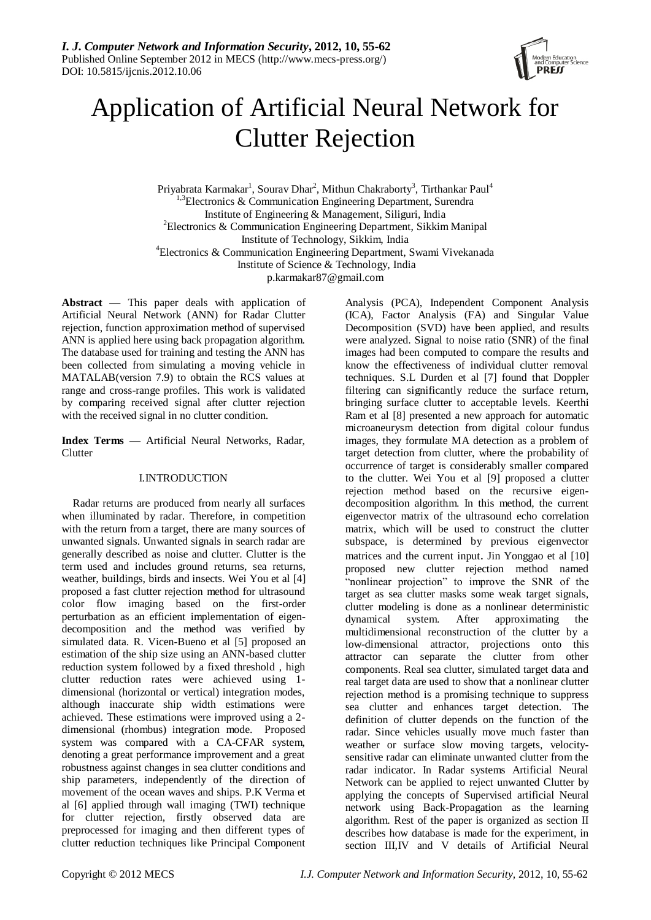

# Application of Artificial Neural Network for Clutter Rejection

Priyabrata Karmakar<sup>1</sup>, Sourav Dhar<sup>2</sup>, Mithun Chakraborty<sup>3</sup>, Tirthankar Paul<sup>4</sup>  $1,3$ Electronics & Communication Engineering Department, Surendra Institute of Engineering & Management, Siliguri, India <sup>2</sup> Electronics & Communication Engineering Department, Sikkim Manipal Institute of Technology, Sikkim, India 4 Electronics & Communication Engineering Department, Swami Vivekanada Institute of Science & Technology, India p.karmakar87@gmail.com

**Abstract —** This paper deals with application of Artificial Neural Network (ANN) for Radar Clutter rejection, function approximation method of supervised ANN is applied here using back propagation algorithm. The database used for training and testing the ANN has been collected from simulating a moving vehicle in MATALAB(version 7.9) to obtain the RCS values at range and cross-range profiles. This work is validated by comparing received signal after clutter rejection with the received signal in no clutter condition.

**Index Terms —** Artificial Neural Networks, Radar, **Clutter** 

# I.INTRODUCTION

Radar returns are produced from nearly all surfaces when illuminated by radar. Therefore, in competition with the return from a target, there are many sources of unwanted signals. Unwanted signals in search radar are generally described as noise and clutter. Clutter is the term used and includes ground returns, sea returns, weather, buildings, birds and insects. Wei You et al [4] proposed a fast clutter rejection method for ultrasound color flow imaging based on the first-order perturbation as an efficient implementation of eigendecomposition and the method was verified by simulated data. R. Vicen-Bueno et al [5] proposed an estimation of the ship size using an ANN-based clutter reduction system followed by a fixed threshold , high clutter reduction rates were achieved using 1 dimensional (horizontal or vertical) integration modes, although inaccurate ship width estimations were achieved. These estimations were improved using a 2 dimensional (rhombus) integration mode. Proposed system was compared with a CA-CFAR system, denoting a great performance improvement and a great robustness against changes in sea clutter conditions and ship parameters, independently of the direction of movement of the ocean waves and ships. P.K Verma et al [6] applied through wall imaging (TWI) technique for clutter rejection, firstly observed data are preprocessed for imaging and then different types of clutter reduction techniques like Principal Component

Analysis (PCA), Independent Component Analysis (ICA), Factor Analysis (FA) and Singular Value Decomposition (SVD) have been applied, and results were analyzed. Signal to noise ratio (SNR) of the final images had been computed to compare the results and know the effectiveness of individual clutter removal techniques. S.L Durden et al [7] found that Doppler filtering can significantly reduce the surface return, bringing surface clutter to acceptable levels. Keerthi Ram et al [8] presented a new approach for automatic microaneurysm detection from digital colour fundus images, they formulate MA detection as a problem of target detection from clutter, where the probability of occurrence of target is considerably smaller compared to the clutter. Wei You et al [9] proposed a clutter rejection method based on the recursive eigendecomposition algorithm. In this method, the current eigenvector matrix of the ultrasound echo correlation matrix, which will be used to construct the clutter subspace, is determined by previous eigenvector matrices and the current input. Jin Yonggao et al [10] proposed new clutter rejection method named "nonlinear projection" to improve the SNR of the target as sea clutter masks some weak target signals, clutter modeling is done as a nonlinear deterministic dynamical system. After approximating the multidimensional reconstruction of the clutter by a low-dimensional attractor, projections onto this attractor can separate the clutter from other components. Real sea clutter, simulated target data and real target data are used to show that a nonlinear clutter rejection method is a promising technique to suppress sea clutter and enhances target detection. The definition of clutter depends on the function of the radar. Since vehicles usually move much faster than weather or surface slow moving targets, velocitysensitive radar can eliminate unwanted clutter from the radar indicator. In Radar systems Artificial Neural Network can be applied to reject unwanted Clutter by applying the concepts of Supervised artificial Neural network using Back-Propagation as the learning algorithm. Rest of the paper is organized as section II describes how database is made for the experiment, in section III,IV and V details of Artificial Neural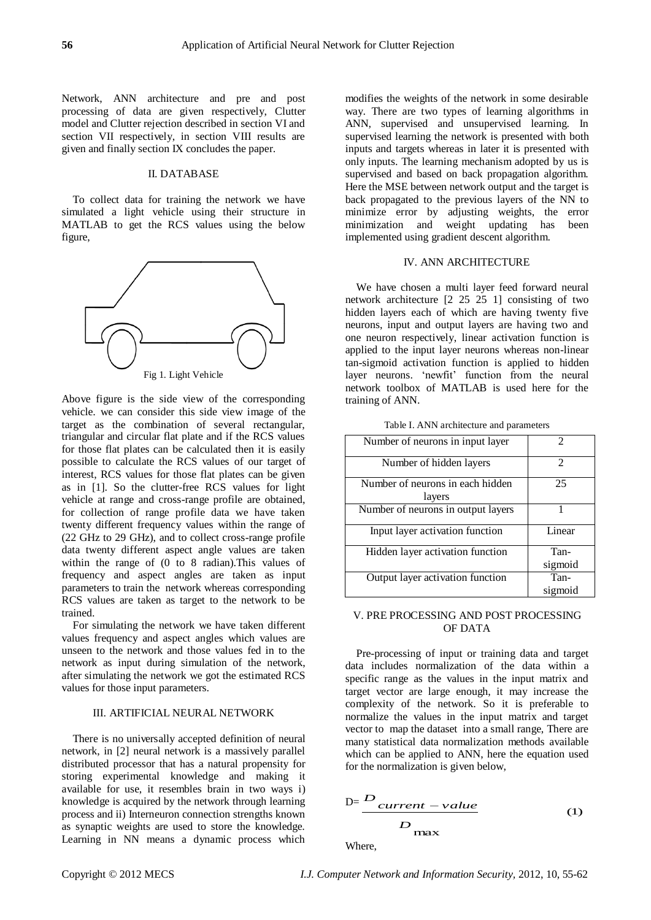Network, ANN architecture and pre and post processing of data are given respectively, Clutter model and Clutter rejection described in section VI and section VII respectively, in section VIII results are given and finally section IX concludes the paper.

# II. DATABASE

To collect data for training the network we have simulated a light vehicle using their structure in MATLAB to get the RCS values using the below figure,



Above figure is the side view of the corresponding vehicle. we can consider this side view image of the target as the combination of several rectangular, triangular and circular flat plate and if the RCS values for those flat plates can be calculated then it is easily possible to calculate the RCS values of our target of interest, RCS values for those flat plates can be given as in [1]. So the clutter-free RCS values for light vehicle at range and cross-range profile are obtained, for collection of range profile data we have taken twenty different frequency values within the range of (22 GHz to 29 GHz), and to collect cross-range profile data twenty different aspect angle values are taken within the range of (0 to 8 radian).This values of frequency and aspect angles are taken as input parameters to train the network whereas corresponding RCS values are taken as target to the network to be trained.

For simulating the network we have taken different values frequency and aspect angles which values are unseen to the network and those values fed in to the network as input during simulation of the network, after simulating the network we got the estimated RCS values for those input parameters.

# III. ARTIFICIAL NEURAL NETWORK

There is no universally accepted definition of neural network, in [2] neural network is a massively parallel distributed processor that has a natural propensity for storing experimental knowledge and making it available for use, it resembles brain in two ways i) knowledge is acquired by the network through learning process and ii) Interneuron connection strengths known as synaptic weights are used to store the knowledge. Learning in NN means a dynamic process which

modifies the weights of the network in some desirable way. There are two types of learning algorithms in ANN, supervised and unsupervised learning. In supervised learning the network is presented with both inputs and targets whereas in later it is presented with only inputs. The learning mechanism adopted by us is supervised and based on back propagation algorithm. Here the MSE between network output and the target is back propagated to the previous layers of the NN to minimize error by adjusting weights, the error minimization and weight updating has been implemented using gradient descent algorithm.

# IV. ANN ARCHITECTURE

We have chosen a multi layer feed forward neural network architecture [2 25 25 1] consisting of two hidden layers each of which are having twenty five neurons, input and output layers are having two and one neuron respectively, linear activation function is applied to the input layer neurons whereas non-linear tan-sigmoid activation function is applied to hidden layer neurons. 'newfit' function from the neural network toolbox of MATLAB is used here for the training of ANN.

| Number of neurons in input layer           | $\mathfrak{D}$  |
|--------------------------------------------|-----------------|
| Number of hidden layers                    | 2               |
| Number of neurons in each hidden<br>layers | 25              |
| Number of neurons in output layers         |                 |
| Input layer activation function            | Linear          |
| Hidden layer activation function           | Tan-<br>sigmoid |
| Output layer activation function           | Tan-<br>sigmoid |

## V. PRE PROCESSING AND POST PROCESSING OF DATA

Pre-processing of input or training data and target data includes normalization of the data within a specific range as the values in the input matrix and target vector are large enough, it may increase the complexity of the network. So it is preferable to normalize the values in the input matrix and target vector to map the dataset into a small range, There are many statistical data normalization methods available which can be applied to ANN, here the equation used for the normalization is given below,

$$
D = \frac{D_{current - value}}{D_{\text{max}}}
$$
 (1)

Where,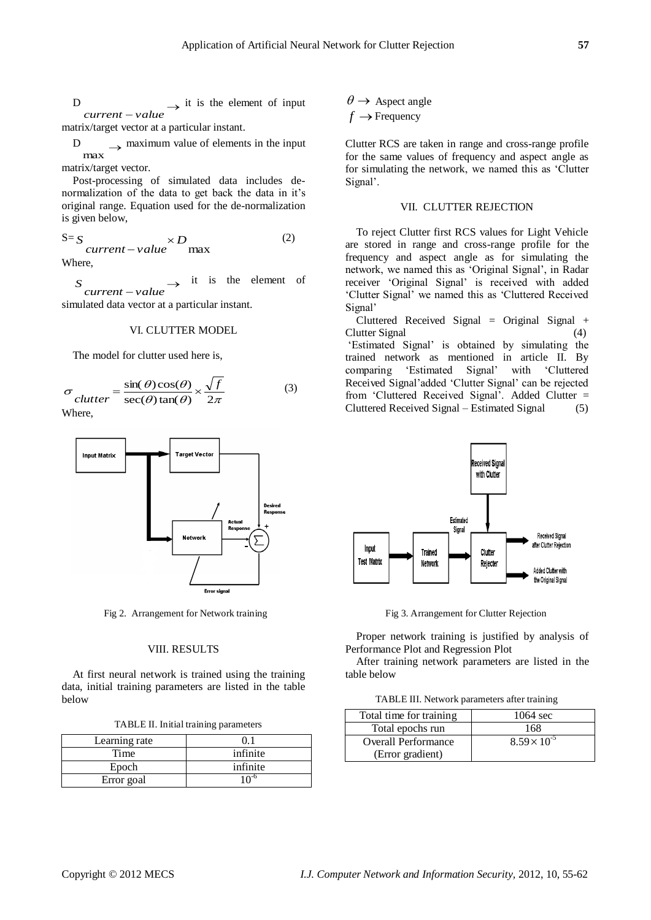D  $\rightarrow$  it is the element of input *current value*

matrix/target vector at a particular instant.

D  $\rightarrow$  maximum value of elements in the input max

matrix/target vector.

Post-processing of simulated data includes denormalization of the data to get back the data in it"s original range. Equation used for the de-normalization is given below,

$$
S = S
$$
  
current-value<sup>×D</sup> max (2)

Where,

 $\rightarrow$ *current value S* it is the element of

simulated data vector at a particular instant.

## VI. CLUTTER MODEL

The model for clutter used here is,

$$
\sigma_{clutter} = \frac{\sin(\theta)\cos(\theta)}{\sec(\theta)\tan(\theta)} \times \frac{\sqrt{f}}{2\pi}
$$
 (3)

Where,



Fig 2. Arrangement for Network training Fig 3. Arrangement for Clutter Rejection

#### VIII. RESULTS

At first neural network is trained using the training data, initial training parameters are listed in the table below

|  |  | TABLE II. Initial training parameters |
|--|--|---------------------------------------|
|  |  |                                       |

| Learning rate |          |
|---------------|----------|
| Time          | infinite |
| Epoch         | infinite |
| Error goal    | . റി     |

 $\theta \rightarrow$  Aspect angle  $f \rightarrow$  Frequency

Clutter RCS are taken in range and cross-range profile for the same values of frequency and aspect angle as for simulating the network, we named this as "Clutter Signal'.

#### VII. CLUTTER REJECTION

To reject Clutter first RCS values for Light Vehicle are stored in range and cross-range profile for the frequency and aspect angle as for simulating the network, we named this as "Original Signal", in Radar receiver "Original Signal" is received with added "Clutter Signal" we named this as "Cluttered Received Signal'

Cluttered Received Signal = Original Signal + Clutter Signal (4)

"Estimated Signal" is obtained by simulating the trained network as mentioned in article II. By comparing "Estimated Signal" with "Cluttered Received Signal"added "Clutter Signal" can be rejected from "Cluttered Received Signal". Added Clutter = Cluttered Received Signal – Estimated Signal (5)



Proper network training is justified by analysis of Performance Plot and Regression Plot

After training network parameters are listed in the table below

TABLE III. Network parameters after training

| Total time for training    | $1064 \text{ sec}$    |
|----------------------------|-----------------------|
| Total epochs run           | 168                   |
| <b>Overall Performance</b> | $8.59 \times 10^{-5}$ |
| (Error gradient)           |                       |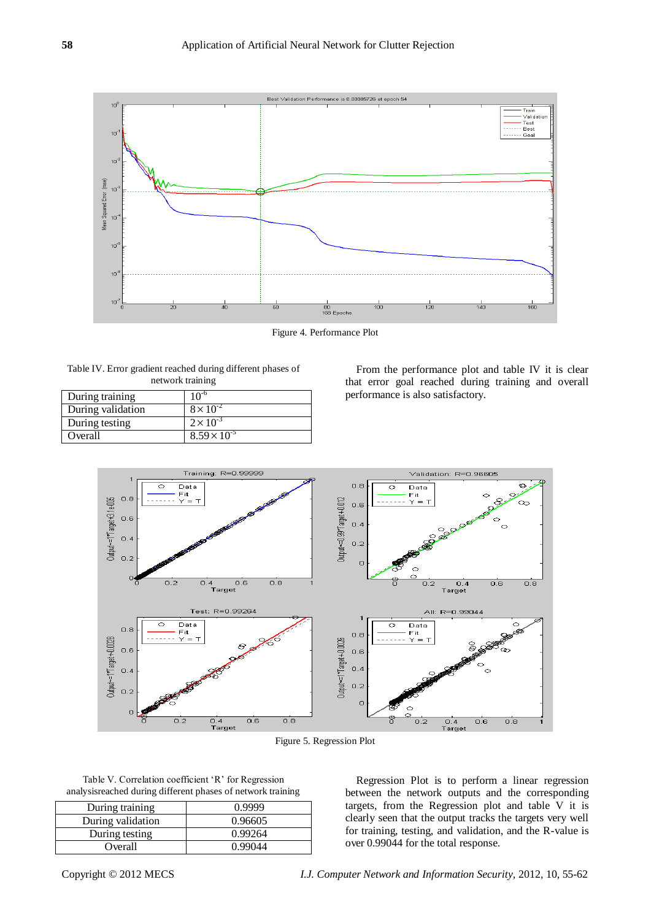

Figure 4. Performance Plot

| Table IV. Error gradient reached during different phases of |
|-------------------------------------------------------------|
| network training                                            |

| During training   | $10^{-6}$             |
|-------------------|-----------------------|
| During validation | $8 \times 10^{-2}$    |
| During testing    | $2 \times 10^{-3}$    |
| Overall           | $8.59 \times 10^{-5}$ |

From the performance plot and table IV it is clear that error goal reached during training and overall performance is also satisfactory.



Figure 5. Regression Plot

| Table V. Correlation coefficient 'R' for Regression          |  |
|--------------------------------------------------------------|--|
| analysis reached during different phases of network training |  |

| During training   | 0.9999  |
|-------------------|---------|
| During validation | 0.96605 |
| During testing    | 0.99264 |
| Overall           | 0.99044 |

Regression Plot is to perform a linear regression between the network outputs and the corresponding targets, from the Regression plot and table V it is clearly seen that the output tracks the targets very well for training, testing, and validation, and the R-value is over 0.99044 for the total response.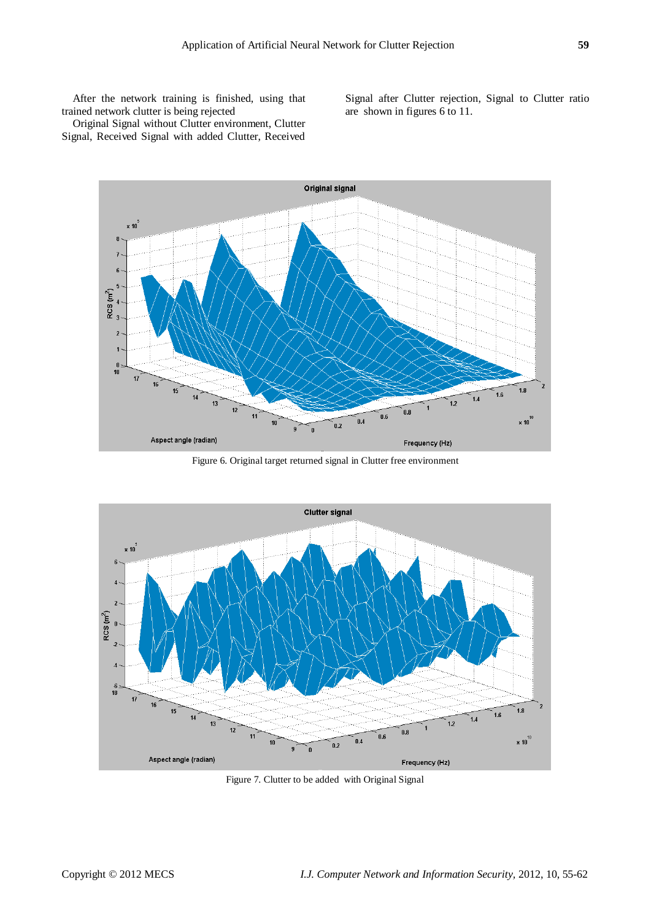After the network training is finished, using that trained network clutter is being rejected

Signal after Clutter rejection, Signal to Clutter ratio are shown in figures 6 to 11.

Original Signal without Clutter environment, Clutter Signal, Received Signal with added Clutter, Received



Figure 6. Original target returned signal in Clutter free environment



Figure 7. Clutter to be added with Original Signal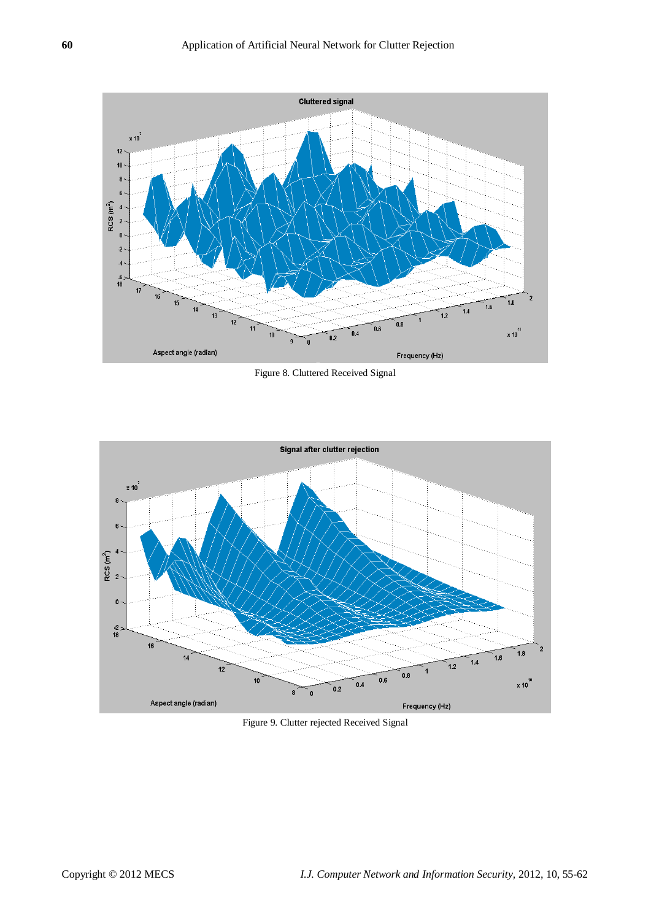

Figure 8. Cluttered Received Signal



Figure 9. Clutter rejected Received Signal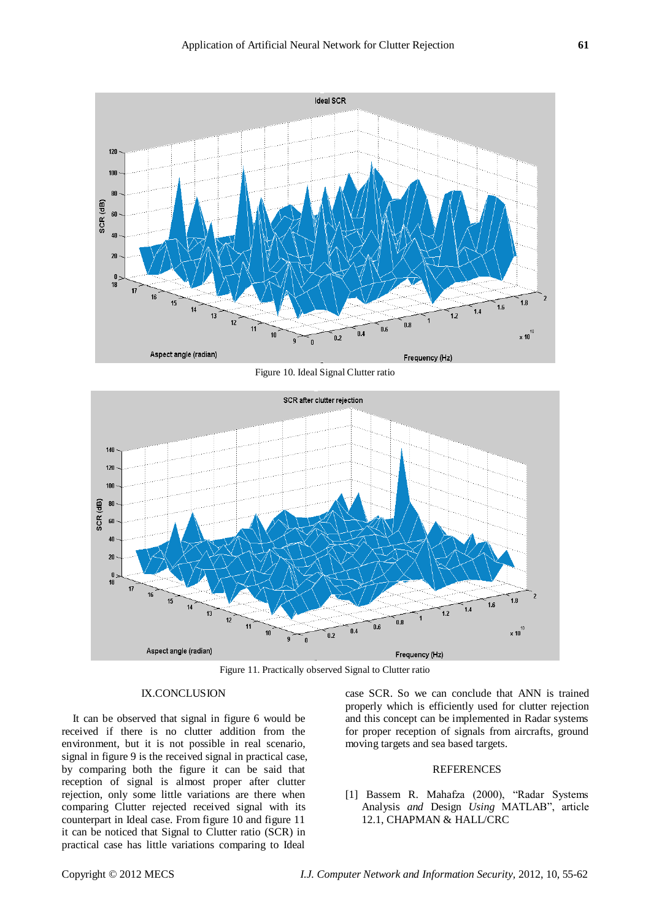

Figure 10. Ideal Signal Clutter ratio



Figure 11. Practically observed Signal to Clutter ratio

## IX.CONCLUSION

It can be observed that signal in figure 6 would be received if there is no clutter addition from the environment, but it is not possible in real scenario, signal in figure 9 is the received signal in practical case, by comparing both the figure it can be said that reception of signal is almost proper after clutter rejection, only some little variations are there when comparing Clutter rejected received signal with its counterpart in Ideal case. From figure 10 and figure 11 it can be noticed that Signal to Clutter ratio (SCR) in practical case has little variations comparing to Ideal

case SCR. So we can conclude that ANN is trained properly which is efficiently used for clutter rejection and this concept can be implemented in Radar systems for proper reception of signals from aircrafts, ground moving targets and sea based targets.

#### **REFERENCES**

[1] Bassem R. Mahafza (2000), "Radar Systems Analysis *and* Design *Using* MATLAB", article 12.1, CHAPMAN & HALL/CRC